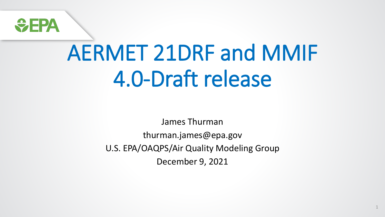

# AERMET 21DRF and MMIF 4.0-Draft release

James Thurman

thurman.james@epa.gov

U.S. EPA/OAQPS/Air Quality Modeling Group

December 9, 2021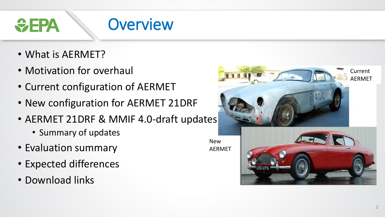**Overview**  $\div$ EPA

- What is AERMET?
- Motivation for overhaul
- Current configuration of AERMET
- New configuration for AERMET 21DRF
- AERMET 21DRF & MMIF 4.0-draft updates
	- Summary of updates
- Evaluation summary
- Expected differences
- Download links



New AERMET

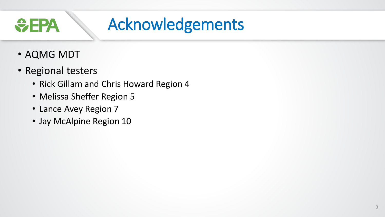### Acknowledgements *<u>CHPA</u>*

- AQMG MDT
- Regional testers
	- Rick Gillam and Chris Howard Region 4
	- Melissa Sheffer Region 5
	- Lance Avey Region 7
	- Jay McAlpine Region 10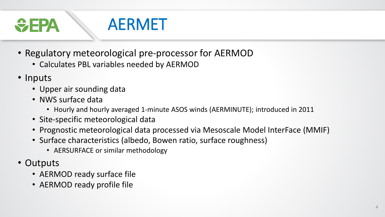$\bigoplus$  EPA

### AERMET

- Regulatory meteorological pre-processor for AERMOD
	- Calculates PBL variables needed by AERMOD
- Inputs
	- Upper air sounding data
	- NWS surface data
		- Hourly and hourly averaged 1-minute ASOS winds (AERMINUTE); introduced in 2011
	- Site-specific meteorological data
	- Prognostic meteorological data processed via Mesoscale Model InterFace (MMIF)
	- Surface characteristics (albedo, Bowen ratio, surface roughness)
		- AERSURFACE or similar methodology
- Outputs
	- AERMOD ready surface file
	- AERMOD ready profile file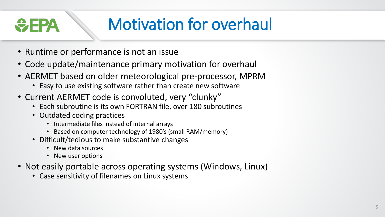# Motivation for overhaul

- Runtime or performance is not an issue
- Code update/maintenance primary motivation for overhaul
- AERMET based on older meteorological pre-processor, MPRM
	- Easy to use existing software rather than create new software
- Current AERMET code is convoluted, very "clunky"
	- Each subroutine is its own FORTRAN file, over 180 subroutines
	- Outdated coding practices

WEP

- Intermediate files instead of internal arrays
- Based on computer technology of 1980's (small RAM/memory)
- Difficult/tedious to make substantive changes
	- New data sources
	- New user options
- Not easily portable across operating systems (Windows, Linux)
	- Case sensitivity of filenames on Linux systems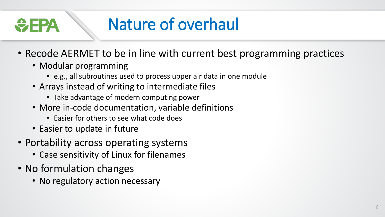### Nature of overhaul  $\bigtriangledown$  - 24

- Recode AERMET to be in line with current best programming practices
	- Modular programming
		- e.g., all subroutines used to process upper air data in one module
	- Arrays instead of writing to intermediate files
		- Take advantage of modern computing power
	- More in-code documentation, variable definitions
		- Easier for others to see what code does
	- Easier to update in future
- Portability across operating systems
	- Case sensitivity of Linux for filenames
- No formulation changes
	- No regulatory action necessary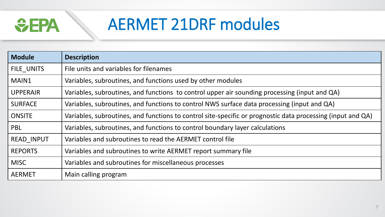

### AERMET 21DRF modules

| <b>Module</b>     | <b>Description</b>                                                                                          |
|-------------------|-------------------------------------------------------------------------------------------------------------|
| FILE UNITS        | File units and variables for filenames                                                                      |
| MAIN1             | Variables, subroutines, and functions used by other modules                                                 |
| <b>UPPERAIR</b>   | Variables, subroutines, and functions to control upper air sounding processing (input and QA)               |
| <b>SURFACE</b>    | Variables, subroutines, and functions to control NWS surface data processing (input and QA)                 |
| <b>ONSITE</b>     | Variables, subroutines, and functions to control site-specific or prognostic data processing (input and QA) |
| <b>PBL</b>        | Variables, subroutines, and functions to control boundary layer calculations                                |
| <b>READ INPUT</b> | Variables and subroutines to read the AERMET control file                                                   |
| <b>REPORTS</b>    | Variables and subroutines to write AERMET report summary file                                               |
| <b>MISC</b>       | Variables and subroutines for miscellaneous processes                                                       |
| <b>AERMET</b>     | Main calling program                                                                                        |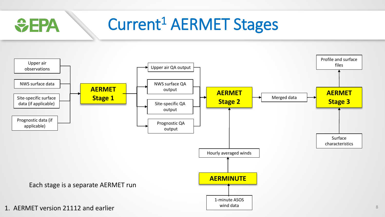### Current<sup>1</sup> AERMET Stages *<u>CHA</u>*

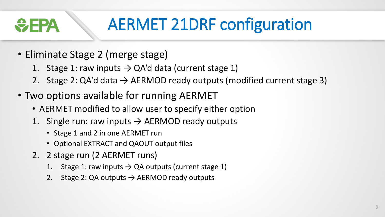# AERMET 21DRF configuration

- Eliminate Stage 2 (merge stage)
	- 1. Stage 1: raw inputs  $\rightarrow$  QA'd data (current stage 1)
	- 2. Stage 2: QA'd data  $\rightarrow$  AERMOD ready outputs (modified current stage 3)
- Two options available for running AERMET
	- AERMET modified to allow user to specify either option
	- 1. Single run: raw inputs  $\rightarrow$  AERMOD ready outputs
		- Stage 1 and 2 in one AERMET run
		- Optional EXTRACT and QAOUT output files
	- 2. 2 stage run (2 AERMET runs)
		- 1. Stage 1: raw inputs  $\rightarrow$  QA outputs (current stage 1)
		- 2. Stage 2: QA outputs  $\rightarrow$  AERMOD ready outputs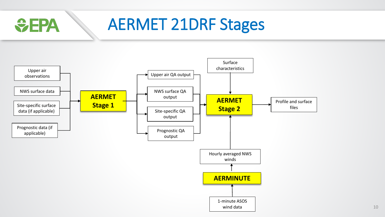

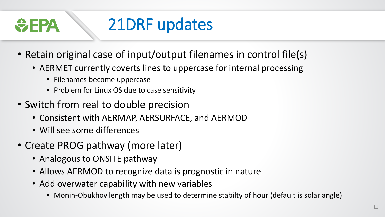

- Retain original case of input/output filenames in control file(s)
	- AERMET currently coverts lines to uppercase for internal processing
		- Filenames become uppercase
		- Problem for Linux OS due to case sensitivity
- Switch from real to double precision
	- Consistent with AERMAP, AERSURFACE, and AERMOD
	- Will see some differences
- Create PROG pathway (more later)
	- Analogous to ONSITE pathway
	- Allows AERMOD to recognize data is prognostic in nature
	- Add overwater capability with new variables
		- Monin-Obukhov length may be used to determine stabilty of hour (default is solar angle)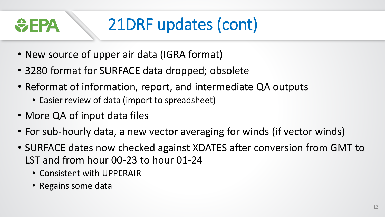# 21DRF updates (cont)

- New source of upper air data (IGRA format)
- 3280 format for SURFACE data dropped; obsolete
- Reformat of information, report, and intermediate QA outputs
	- Easier review of data (import to spreadsheet)
- More QA of input data files

<del>V</del> FPA

- For sub-hourly data, a new vector averaging for winds (if vector winds)
- SURFACE dates now checked against XDATES after conversion from GMT to LST and from hour 00-23 to hour 01-24
	- Consistent with UPPERAIR
	- Regains some data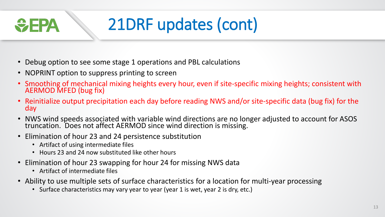# 21DRF updates (cont)

- Debug option to see some stage 1 operations and PBL calculations
- NOPRINT option to suppress printing to screen
- Smoothing of mechanical mixing heights every hour, even if site-specific mixing heights; consistent with AERMOD MFED (bug fix)
- Reinitialize output precipitation each day before reading NWS and/or site-specific data (bug fix) for the day
- NWS wind speeds associated with variable wind directions are no longer adjusted to account for ASOS truncation. Does not affect AERMOD since wind direction is missing.
- Elimination of hour 23 and 24 persistence substitution
	- Artifact of using intermediate files
	- Hours 23 and 24 now substituted like other hours
- Elimination of hour 23 swapping for hour 24 for missing NWS data
	- Artifact of intermediate files

<del>V</del> FPA

- Ability to use multiple sets of surface characteristics for a location for multi-year processing
	- Surface characteristics may vary year to year (year 1 is wet, year 2 is dry, etc.)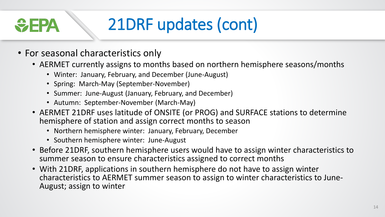# 21DRF updates (cont)

• For seasonal characteristics only

**DE STREET** 

- AERMET currently assigns to months based on northern hemisphere seasons/months
	- Winter: January, February, and December (June-August)
	- Spring: March-May (September-November)
	- Summer: June-August (January, February, and December)
	- Autumn: September-November (March-May)
- AERMET 21DRF uses latitude of ONSITE (or PROG) and SURFACE stations to determine hemisphere of station and assign correct months to season
	- Northern hemisphere winter: January, February, December
	- Southern hemisphere winter: June-August
- Before 21DRF, southern hemisphere users would have to assign winter characteristics to summer season to ensure characteristics assigned to correct months
- With 21DRF, applications in southern hemisphere do not have to assign winter characteristics to AERMET summer season to assign to winter characteristics to June-August; assign to winter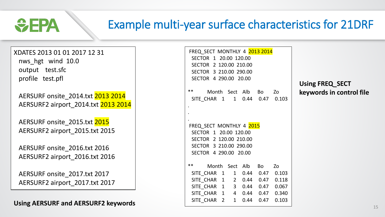

### Example multi-year surface characteristics for 21DRF

XDATES 2013 01 01 2017 12 31 nws\_hgt wind 10.0 output test.sfc profile test.pfl

AERSURF onsite\_2014.txt 2013 2014 AERSURF2 airport\_2014.txt 2013 2014

AERSURF onsite\_2015.txt 2015 AERSURF2 airport\_2015.txt 2015

AERSURF onsite\_2016.txt 2016 AERSURF2 airport\_2016.txt 2016

AERSURF onsite\_2017.txt 2017 AERSURF2 airport\_2017.txt 2017

**Using AERSURF and AERSURF2 keywords** 

| FREQ SECT MONTHLY 4 2013 2014      |  |  |  |  |  |  |
|------------------------------------|--|--|--|--|--|--|
| SECTOR 1 20.00 120.00              |  |  |  |  |  |  |
| SECTOR 2 120.00 210.00             |  |  |  |  |  |  |
| SECTOR 3 210.00 290.00             |  |  |  |  |  |  |
| SECTOR 4 290.00 20.00              |  |  |  |  |  |  |
|                                    |  |  |  |  |  |  |
| **<br>Month Sect Alb Bo Zo         |  |  |  |  |  |  |
| SITE_CHAR 1 1 0.44 0.47 0.103      |  |  |  |  |  |  |
|                                    |  |  |  |  |  |  |
|                                    |  |  |  |  |  |  |
|                                    |  |  |  |  |  |  |
| FREQ SECT MONTHLY 4 2015           |  |  |  |  |  |  |
| SECTOR 1 20.00 120.00              |  |  |  |  |  |  |
| SECTOR 2 120.00 210.00             |  |  |  |  |  |  |
| SECTOR 3 210.00 290.00             |  |  |  |  |  |  |
|                                    |  |  |  |  |  |  |
| SECTOR 4 290.00 20.00              |  |  |  |  |  |  |
|                                    |  |  |  |  |  |  |
| ** Month Sect Alb Bo Zo            |  |  |  |  |  |  |
| SITE_CHAR  1  1  0.44  0.47  0.103 |  |  |  |  |  |  |
| SITE_CHAR 1 2 0.44 0.47 0.118      |  |  |  |  |  |  |
| SITE CHAR 1 3 0.44 0.47 0.067      |  |  |  |  |  |  |
| SITE_CHAR  1  4  0.44  0.47  0.340 |  |  |  |  |  |  |
| SITE_CHAR 2 1 0.44 0.47 0.103      |  |  |  |  |  |  |

**Using FREQ\_SECT keywords in control file**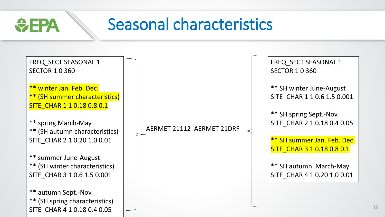### Seasonal characteristics

 $\bigcirc$ EPA

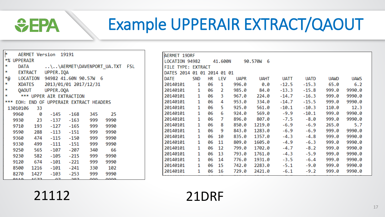### Example UPPERAIR EXTRACT/QAOUT

| ×  |             |      | AERMET Version 19191 |                                          |          |                                  |  |
|----|-------------|------|----------------------|------------------------------------------|----------|----------------------------------|--|
|    | *% UPPERAIR |      |                      |                                          |          |                                  |  |
| *  |             |      |                      |                                          |          | DATA AERMET\DAVENPORT UA.TXT FSL |  |
| *  |             |      | EXTRACT UPPER.IQA    |                                          |          |                                  |  |
| *@ |             |      |                      | LOCATION 94982 41.60N 90.57W 6           |          |                                  |  |
| *  |             |      |                      | XDATES 2013/01/01 2017/12/31             |          |                                  |  |
| *  |             |      | QAOUT UPPER.OOA      |                                          |          |                                  |  |
| *  |             |      |                      | *** UPPER AIR EXTRACTION                 |          |                                  |  |
|    |             |      |                      | *** EOH: END OF UPPERAIR EXTRACT HEADERS |          |                                  |  |
|    | 13010106    | -33  |                      |                                          |          |                                  |  |
|    | 9960        |      |                      | $0 -145 -168$                            | 345      | 25                               |  |
|    | 9930        |      |                      | 23 -137 -163                             | 999      | 9990                             |  |
|    |             |      |                      | 9710 193 -127 -165                       | 999      | 9990                             |  |
|    | 9590        |      |                      | 288 -113 -151                            | 999      | 9990                             |  |
|    | 9360        |      |                      | 474 -115 -150                            | 999      | 9990                             |  |
|    | 9330        |      | 499 -111             | -151                                     | 999      | 9990                             |  |
|    | 9250        |      | 565 -107             | -207                                     | 340      | 66                               |  |
|    | 9230        |      | 582 - 105            | $-215$                                   | 999      | 9990                             |  |
|    | 9120        |      | 674 -101             | $-221$                                   | 999      | 9990                             |  |
|    | 8500        |      | 1216 -101            | -241                                     | 330      | 102                              |  |
|    | 8270        |      |                      | 1427 - 103 - 253                         | 999      | 9990                             |  |
|    | 044 Q       | ATZZ | $\sim$ 0.7           | 207                                      | $\Omega$ | <u>aaaa</u>                      |  |

| AERMET 19DRF                |     |    |         |             |               |             |             |             |             |  |
|-----------------------------|-----|----|---------|-------------|---------------|-------------|-------------|-------------|-------------|--|
| LOCATION 94982              |     |    | 41.600N |             | 90.570W<br>-6 |             |             |             |             |  |
| FILE TYPE: EXTRACT          |     |    |         |             |               |             |             |             |             |  |
| DATES 2014 01 01 2014 01 01 |     |    |         |             |               |             |             |             |             |  |
| )ATE                        | SND | НR | LEV     | <b>UAPR</b> | UAHT          | <b>UATT</b> | <b>UATD</b> | <b>UAWD</b> | <b>UAWS</b> |  |
| 20140101                    | 1   | 06 | 1       | 996.0       | 0.0           | $-12.5$     | $-15.3$     | 65.0        | 6.2         |  |
| 20140101                    | 1   | 06 | 2       | 985.0       | 84.0          | $-13.3$     | $-15.8$     | 999.0       | 9990.0      |  |
| 20140101                    | 1   | 06 | 3       | 967.0       | 224.0         | $-14.7$     | $-16.3$     | 999.0       | 9990.0      |  |
| 20140101                    | 1   | 06 | 4       | 953.0       | 334.0         | $-14.7$     | $-15.5$     | 999.0       | 9990.0      |  |
| 20140101                    | 1   | 06 | 5       | 925.0       | 561.0         | $-10.1$     | $-10.3$     | 110.0       | 12.3        |  |
| 20140101                    | 1   | 06 | 6       | 924.0       | 569.0         | $-9.9$      | $-10.1$     | 999.0       | 9990.0      |  |
| 20140101                    | 1   | 06 | 7       | 896.0       | 807.0         | $-7.5$      | $-8.0$      | 999.0       | 9990.0      |  |
| 20140101                    | 1   | 06 | 8       | 850.0       | 1219.0        | $-6.9$      | $-6.9$      | 265.0       | 5.7         |  |
| 20140101                    | 1   | 06 | 9       | 843.0       | 1283.0        | $-6.9$      | $-6.9$      | 999.0       | 9990.0      |  |
| 20140101                    | 1   | 06 | 10      | 835.0       | 1357.0        | $-4.3$      | $-4.8$      | 999.0       | 9990.0      |  |
| 20140101                    | 1   | 06 | 11      | 809.0       | 1605.0        | $-4.9$      | $-6.3$      | 999.0       | 9990.0      |  |
| 20140101                    | 1   | 06 | 12      | 799.0       | 1702.0        | $-4.7$      | $-8.2$      | 999.0       | 9990.0      |  |
| 20140101                    | 1   | 06 | 13      | 793.0       | 1761.0        | $-4.3$      | $-5.9$      | 999.0       | 9990.0      |  |
| 20140101                    | 1   | 06 | 14      | 776.0       | 1931.0        | $-3.5$      | $-6.4$      | 999.0       | 9990.0      |  |
| 20140101                    | 1   | 06 | 15      | 742.0       | 2283.0        | $-5.1$      | $-9.0$      | 999.0       | 9990.0      |  |
| 20140101                    | 1   | 06 | 16      | 729.0       | 2421.0        | $-6.1$      | $-9.2$      | 999.0       | 9990.0      |  |
|                             |     |    |         |             |               |             |             |             |             |  |

21112 21DRF

*<u>CHA</u>*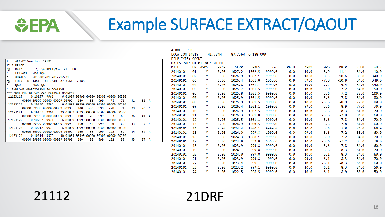### Example SURFACE EXTRACT/QAOUT

| ×                                       | AERMET Version 19191 |         |                               |                                         |     |       |     |        |    |     |                |  |
|-----------------------------------------|----------------------|---------|-------------------------------|-----------------------------------------|-----|-------|-----|--------|----|-----|----------------|--|
| *% SURFACE                              |                      |         |                               |                                         |     |       |     |        |    |     |                |  |
| *@                                      | <b>DATA</b>          |         |                               | \\AERMET\MDW.TXT ISHD                   |     |       |     |        |    |     |                |  |
| *                                       | EXTRACT              | MDW.IOA |                               |                                         |     |       |     |        |    |     |                |  |
| 零                                       | <b>XDATES</b>        |         | 2013/01/01 2017/12/31         |                                         |     |       |     |        |    |     |                |  |
| *@                                      |                      |         |                               | LOCATION 14819 41.784N 87.756W 6 188.   |     |       |     |        |    |     |                |  |
| *<br><b>OAOUT</b>                       |                      | MDW.OOA |                               |                                         |     |       |     |        |    |     |                |  |
| * SURFACE OBSERVATION EXTRACTION        |                      |         |                               |                                         |     |       |     |        |    |     |                |  |
| *** EOH: END OF SURFACE EXTRACT HEADERS |                      |         |                               |                                         |     |       |     |        |    |     |                |  |
| 12123119                                |                      |         | 0 10197 9961                  | 6 01099 09999 00300 00300 00300 00300   |     |       |     |        |    |     |                |  |
|                                         |                      |         | 00300 09999 00000 00099 00999 |                                         | 160 | $-33$ | 999 | $-78$  | 71 | 31  | $31 \Delta$    |  |
| 12123120                                |                      |         | 0 10200 9965                  | 6 01099 09999 00300 00300 00300 00300   |     |       |     |        |    |     |                |  |
|                                         |                      |         | 00300 09999 00000 00099 00999 |                                         | 140 | $-33$ | 999 | -78    | 71 | 29  | $26 \text{ A}$ |  |
| 12123121                                |                      | 0 10197 | 9961                          | 999 01099 09999 00300 00300 00300 00300 |     |       |     |        |    |     |                |  |
|                                         |                      |         | 00300 09999 00000 00099 00999 |                                         | 110 | $-28$ | 999 | -83    | 65 | 36  | 41 A           |  |
| 12123122                                |                      | 0 10207 | 9971                          | 6 01099 09999 00300 00300 00300 00300   |     |       |     |        |    |     |                |  |
|                                         |                      |         | 00300 09999 00000 00099 00999 |                                         | 160 | $-44$ | 999 | $-100$ | 65 | 33. | 57 A           |  |
| 12123123                                |                      | ด 10212 | - 9975                        | 6 01099 09999 00300 00300 00300 00300   |     |       |     |        |    |     |                |  |
|                                         |                      |         | 00300 09999 00000 00099 00999 |                                         | 160 | -56   | 999 | $-122$ | 59 | 34  | 57 A           |  |
| 12123124                                |                      | 0 10214 | 9975                          | 30 01099 09999 00300 00300 00300 00300  |     |       |     |        |    |     |                |  |
|                                         |                      |         | 00300 09999 00000 00099 00999 |                                         | 160 | -56   | 999 | $-122$ | 59 | 33. | 57 A           |  |

| AERMET 19DRF                |    |             |             |             |             |             |             |      |             |             |             |       |
|-----------------------------|----|-------------|-------------|-------------|-------------|-------------|-------------|------|-------------|-------------|-------------|-------|
| LOCATION 14819              |    |             | 41.784N     | 87.756W     | 6 188,000   |             |             |      |             |             |             |       |
| FILE TYPE: QAOUT            |    |             |             |             |             |             |             |      |             |             |             |       |
| DATES 2014 01 01 2014 01 01 |    |             |             |             |             |             |             |      |             |             |             |       |
| <b>DATE</b>                 | hr | <b>ASOS</b> | <b>PRCP</b> | <b>SLVP</b> | <b>PRES</b> | <b>TSKC</b> | <b>PWTH</b> | ASKY | <b>TMPD</b> | <b>DPTP</b> | <b>RHUM</b> | WDIR  |
| 20140101                    | 01 | Y           | 0.00        | 1027.2      | 1002.5      | 9999.0      | 0.0         | 10.0 | $-8.9$      | $-11.1$     | 84.0        | 10.0  |
| 20140101                    | 02 | Y           | 0.00        | 1026.9      | 1002.1      | 9999.0      | 0.0         | 10.0 | $-8.3$      | $-10.6$     | 83.0        | 340.0 |
| 20140101                    | 03 | Y           | 0.00        | 1026.4      | 1001.8      | 1099.0      | 0.0         | 99.0 | $-7.8$      | $-10.0$     | 84.0        | 340.0 |
| 20140101                    | 04 | Y           | 0.00        | 1025.8      | 1001.1      | 9999.0      | 0.0         | 10.0 | $-7.2$      | $-9.4$      | 84.0        | 340.0 |
| 20140101                    | 05 | Y           | 0.00        | 1025.7      | 1001.5      | 9999.0      | 0.0         | 10.0 | $-5.0$      | $-7.2$      | 84.0        | 50.0  |
| 20140101                    | 06 | Y           | 0.00        | 1025.8      | 1001.5      | 9999.0      | 0.0         | 10.0 | $-5.6$      | $-7.2$      | 88.0        | 100.0 |
| 20140101                    | 07 | Y           | 0.00        | 1025.9      | 1001.5      | 9999.0      | 0.0         | 10.0 | $-5.6$      | $-7.8$      | 84.0        | 80.0  |
| 20140101                    | 08 | Y           | 0.00        | 1025.9      | 1001.5      | 9999.0      | 0.0         | 10.0 | $-5.6$      | $-8.9$      | 77.0        | 80.0  |
| 20140101                    | 09 | Y           | 0.00        | 1026.4      | 1002.1      | 1099.0      | 0.0         | 99.0 | $-5.6$      | $-8.9$      | 77.0        | 70.0  |
| 20140101                    | 10 | Y           | 0.00        | 1026.9      | 1002.5      | 9999.0      | 0.0         | 10.0 | $-5.6$      | $-8.3$      | 81.0        | 70.0  |
| 20140101                    | 11 | Y           | 0.00        | 1026.3      | 1001.8      | 9999.0      | 0.0         | 10.0 | $-5.6$      | $-7.8$      | 84.0        | 60.0  |
| 20140101                    | 12 | Y           | 0.00        | 1025.5      | 1001.1      | 9999.0      | 0.0         | 10.0 | $-5.6$      | $-7.8$      | 84.0        | 70.0  |
| 20140101                    | 13 | Y           | 0.30        | 1024.9      | 1000.5      | 9999.0      | 0.0         | 10.0 | $-5.6$      | $-7.8$      | 84.0        | 60.0  |
| 20140101                    | 14 | Y           | 0.00        | 1024.4      | 1000.1      | 9999.0      | 0.0         | 10.0 | $-5.6$      | $-7.8$      | 84.0        | 60.0  |
| 20140101                    | 15 | Y           | 0.00        | 1024.0      | 999.8       | 1099.0      | 0.0         | 99.0 | $-5.6$      | $-7.2$      | 88.0        | 60.0  |
| 20140101                    | 16 | Y           | 0.30        | 1024.3      | 1000.1      | 9999.0      | 0.0         | 10.0 | $-5.0$      | $-7.2$      | 84.0        | 70.0  |
| 20140101                    | 17 | Y           | 0.00        | 1024.0      | 999.8       | 9999.0      | 0.0         | 10.0 | $-5.6$      | $-7.2$      | 88.0        | 70.0  |
| 20140101                    | 18 | Y           | 0.00        | 1023.9      | 999.8       | 9999.0      | 0.0         | 10.0 | $-5.6$      | $-7.8$      | 84.0        | 60.0  |
| 20140101                    | 19 | Y           | 0.00        | 1024.1      | 999.8       | 9999.0      | 0.0         | 10.0 | $-5.6$      | $-8.3$      | 81.0        | 70.0  |
| 20140101                    | 20 | Y           | 0.00        | 1024.0      | 999.8       | 9999.0      | 0.0         | 10.0 | $-6.1$      | $-8.3$      | 84.0        | 60.0  |
| 20140101                    | 21 | Y           | 0.00        | 1023.9      | 999.8       | 1099.0      | 0.0         | 99.0 | $-6.1$      | $-8.3$      | 84.0        | 70.0  |
| 20140101                    | 22 | Y           | 0.00        | 1023.4      | 999.1       | 9999.0      | 0.0         | 10.0 | $-6.1$      | $-8.3$      | 84.0        | 60.0  |
| 20140101                    | 23 | Y           | 0.00        | 1023.2      | 999.1       | 9999.0      | 0.0         | 10.0 | $-6.1$      | $-8.3$      | 84.0        | 50.0  |
| 20140101                    | 24 | Y           | 0.00        | 1022.5      | 998.5       | 9999.0      | 0.0         | 10.0 | $-6.1$      | $-8.9$      | 80.0        | 50.0  |
|                             |    |             |             |             |             |             |             |      |             |             |             |       |

21112 21DRF

*<u>CHA</u>*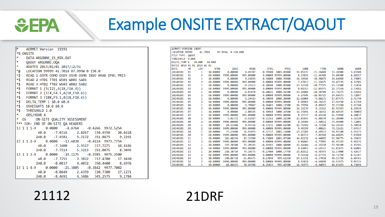## Example ONSITE EXTRACT/QAOUT

| ۴<br>AERMET Version 19191                                  |  |                                      |  |
|------------------------------------------------------------|--|--------------------------------------|--|
| *% ONSITE                                                  |  |                                      |  |
| 宴<br>DATA ARGONNE 15 MIN.DAT                               |  |                                      |  |
| *<br><b>OAOUT ARGONNE.OOA</b>                              |  |                                      |  |
| *<br>XDATES 2013/01/01 2017/12/31                          |  |                                      |  |
| LOCATION 99999 41.701N 87.995W 0 230.0<br>*@               |  |                                      |  |
| *\$<br>READ 1 OSYR OSMO OSDY OSHR OSMN INSO NRAD DT01 PRES |  |                                      |  |
| *\$<br>READ 2 HT01 TT01 WS01 WD01 SA01                     |  |                                      |  |
| *\$<br>READ 3 HT02 TT02 WS02 WD02 SA02                     |  |                                      |  |
| ∗\$<br>FORMAT 1 (5(I2), 4(1X, F10.4))                      |  |                                      |  |
| ∗\$<br>FORMAT 2 (11X, F4.1, 4(1X, F10.4))                  |  |                                      |  |
| *\$<br>FORMAT 3 (10X, F5.1, 4 (1X, F10.4))                 |  |                                      |  |
| *\$<br>DELTA TEMP 1 10.0 60.0                              |  |                                      |  |
| *\$ OSHEIGHTS 10.0 60.0                                    |  |                                      |  |
| *\$ THRESHOLD 1.0                                          |  |                                      |  |
| * 3<br>OBS/HOUR 4                                          |  |                                      |  |
| *<br>OS ON-SITE OUALITY ASSESSMENT                         |  |                                      |  |
| *** EOH: END OF ON-SITE OA HEADERS                         |  |                                      |  |
| 13 1 1 1-9  0.0000  -8.8764  -0.4266  9972.5254            |  |                                      |  |
|                                                            |  | 40.0 -7.0316 2.8267 338.4550 20.0218 |  |
|                                                            |  | 240.0 -7.4581 5.2172 351.8875 9.2291 |  |
| 13 1 1 2-9  0.0000  -13.6030  -0.4114  9973.7754           |  |                                      |  |
|                                                            |  | 40.0 -7.3400 2.9517 337.7275 18.4186 |  |
|                                                            |  | 240.0 -7.7514 5.3213 351.0075 8.3045 |  |
|                                                            |  |                                      |  |
|                                                            |  | 40.0 -7.7251 2.3822 337.4700 17.9410 |  |
|                                                            |  | 240.0 -8.0837 4.4032 350.4400 8.6976 |  |
|                                                            |  |                                      |  |
|                                                            |  | 40.0 -8.0849 2.4359 330.7300 17.1271 |  |
| 240.0                                                      |  | -8.4691  4.3486  345.2575  9.1784    |  |

| AERMET VERSION 19DRF                           |           |                |             |             |             |                          |             |             |             |             |             |
|------------------------------------------------|-----------|----------------|-------------|-------------|-------------|--------------------------|-------------|-------------|-------------|-------------|-------------|
| 41,701N<br>LOCATION 99999<br>87.995W 0 230.000 |           |                |             |             |             |                          |             |             |             |             |             |
| FILE TYPE: 0A0UT                               |           |                |             |             |             |                          |             |             |             |             |             |
| THRESHOLD 0.000                                |           |                |             |             |             |                          |             |             |             |             |             |
| DELTA TEMP 1                                   |           | 10.000         | 60,000      |             |             |                          |             |             |             |             |             |
| DATES 2014 01 01 2014 01 01                    |           |                |             |             |             |                          |             |             |             |             |             |
| <b>DATE</b>                                    | <b>HR</b> | LEV            | <b>HTNN</b> | <b>INSO</b> | <b>NRAD</b> | DT01                     | <b>PRES</b> | <b>SANN</b> | <b>TTNN</b> | <b>WDNN</b> | <b>WSNN</b> |
| 20140101                                       | 01        | 1              | 10.00000    | 0.00000     | 0.49707     | $-0.39500$               | 1001.05000  | 14.05437    | $-11.26800$ | 33.28900    | 3.03500     |
| 20140101                                       | 01        | $\overline{2}$ | 60.00000    | 9999.00000  | 999.00000   | 9.00000 99999.00000      |             | 8.23031     | $-11.66300$ | 39.60500    | 4.60217     |
| 20140101                                       | 02        | 1              | 10.00000    | 0.00000     | 0.24835     | $-0.36800$               | 1000.95000  | 14.24541    | $-10.98875$ | 24.64050    | 2.73005     |
| 20140101                                       | 02        | $\overline{2}$ | 60.00000    | 9999,00000  | 999.00000   | 9.00000 99999.00000      |             | 7.67013     | $-11.35675$ | 31.47725    | 4.32705     |
| 20140101                                       | 03        | 1              | 10.00000    | 0.00000     | $-0.21615$  | $-0.28600$               | 1000.85000  | 13.16328    | $-10.77375$ | 19.11500    | 2.31450     |
| 20140101                                       | 03        | 2              | 60.00000    | 9999.00000  | 999.00000   | 9.00000 99999.00000      |             | 8.01353     | $-11.05975$ | 26.37550    | 3.73682     |
| 20140101                                       | 04        | 1              | 10.00000    | 0.00000     | $-1.05878$  | $-0.28025$               | 1000.42500  | 13.28906    | $-10.58700$ | 15.71275    | 2.41682     |
| 20140101                                       | 04        | $\overline{2}$ | 60.00000    | 9999,00000  | 999.00000   | 9.00000 99999.00000      |             | 6.27646     | $-10.86725$ | 24.68675    | 3.72897     |
| 20140101                                       | 05        | 1              | 10.00000    | 0.00000     | $-1.10423$  | $-0.30090$               | 1000,20000  | 12.68009    | $-9.88135$  | 17.07475    | 2.41740     |
| 20140101                                       | 05        | 2              | 60.00000    | 9999.00000  | 999.00000   | 9.00000 99999.00000      |             | 6.40961     | $-10.18225$ | 27.42450    | 4.13760     |
| 20140101                                       | 06        | 1              | 10.00000    | 0.00000     | $-1.70067$  | $-0.26465$               | 1000.12500  | 16.79956    | $-8.85697$  | 39.23350    | 2.61740     |
| 20140101                                       | 06        | $\overline{2}$ | 60.00000    | 9999,00000  | 999.00000   | 9.00000 99999.00000      |             | 14.21239    | $-9.12162$  | 45.92925    | 4.26520     |
| 20140101                                       | 07        | 1              | 10.00000    | 0.00000     | $-2.80525$  | $-0.30968$               | 1000.22500  | 12.23456    | $-8.14152$  | 48.68325    | 2.58803     |
| 20140101                                       | 07        | 2              | 60.00000    | 9999,00000  | 999,00000   | 9.00000 99999.00000      |             | 8.23317     | $-8.45120$  | 66.55050    | 4.60837     |
| 20140101                                       | 08        | 1              | 10.00000    | 5.01372     | $-1.62927$  | $-0.51362$ 1000.22500    |             | 13.05035    | $-6.88670$  | 65.28800    | 5.36320     |
| 20140101                                       | 08        | 2              | 60.00000    | 9999.00000  | 999.00000   | 9.00000 99999.00000      |             | 8.58509     | $-7.40032$  | 74.96900    | 7.71805     |
| 20140101                                       | 09        | 1              | 10.00000    | 24.51100    | 8.94332     | $-0.37235$               | 1000.62500  | 12.76492    | $-6.71590$  | 62.16425    | 5.70950     |
| 20140101                                       | 09        | $\overline{2}$ | 60.00000    | 9999,00000  | 999,00000   | 9,00000 99999,00000      |             | 9.48199     | $-7.08825$  | 71.11625    | 7.84557     |
| 20140101                                       | 10        | 1              | 10.00000    | 77.23600    | 36.43075    | $-0.32727$ 1001.15000    |             | 13.27201    | $-6.69533$  | 56.95100    | 5.55373     |
| 20140101                                       | 10        | 2              | 60.00000    | 9999.00000  | 999.00000   | 9.00000 99999.00000      |             | 9.06712     | $-7.02260$  | 64.68825    | 7.83988     |
| 20140101                                       | 11        | 1              | 10.00000    | 181.40250   | 87.32950    | $-0.33800$<br>1001.07500 |             | 14.02231    | $-6.44085$  | 57.90775    | 6.35695     |
| 20140101                                       | 11        | 2              | 60.00000    | 9999.00000  | 999.00000   | 9,00000 99999,00000      |             | 9.04043     | $-6.77885$  | 66.93325    | 9.06235     |
| 20140101                                       | 12        | 1              | 10.00000    | 159,70500   | 75.20525    | $-0.29383$               | 1000,60000  | 13.64304    | $-6.35150$  | 57.98100    | 6.15785     |
| 20140101                                       | 12        | $\overline{2}$ | 60.00000    | 9999,00000  | 999,00000   | 9.00000 99999.00000      |             | 8.18055     | $-6.64533$  | 65.03875    | 8.86803     |
| 20140101                                       | 13        | 1              | 10.00000    | 158.38750   | 74.10575    | $-0.27400$               | 1000.17750  | 15.02612    | $-6.40345$  | 52.17000    | 5.92637     |
| 20140101                                       | 13        | $\overline{2}$ | 60.00000    | 9999.00000  | 999.00000   | 9.00000 99999.00000      |             | 9.36428     | $-6.67745$  | 58.72750    | 8.41387     |
| 20140101                                       | 14        | 1              | 10.00000    | 140.06750   | 65.06675    | $-0.27840$               | 999.62250   | 14.13351    | $-6.37058$  | 49.15750    | 6.09765     |
| 20140101                                       | 14        | $\overline{2}$ | 60.00000    | 9999,00000  | 999,00000   | 9.00000 99999.00000      |             | 8.93018     | $-6.64898$  | 56.53975    | 9.04335     |
| 20140101                                       | 15        | 1              | 10.00000    | 68.06625    | 30.45950    | $-0.25453$               | 999.42500   | 14.36972    | $-6.44093$  | 44.63425    | 4.33098     |

21112 21DRF

*<u>CEPA</u>*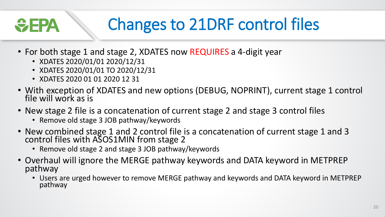### <del>W</del> EPA

## Changes to 21DRF control files

- For both stage 1 and stage 2, XDATES now REQUIRES a 4-digit year
	- XDATES 2020/01/01 2020/12/31
	- XDATES 2020/01/01 TO 2020/12/31
	- XDATES 2020 01 01 2020 12 31
- With exception of XDATES and new options (DEBUG, NOPRINT), current stage 1 control file will work as is
- New stage 2 file is a concatenation of current stage 2 and stage 3 control files
	- Remove old stage 3 JOB pathway/keywords
- New combined stage 1 and 2 control file is a concatenation of current stage 1 and 3 control files with ASOS1MIN from stage 2
	- Remove old stage 2 and stage 3 JOB pathway/keywords
- Overhaul will ignore the MERGE pathway keywords and DATA keyword in METPREP pathway
	- Users are urged however to remove MERGE pathway and keywords and DATA keyword in METPREP pathway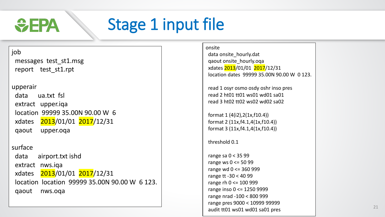

## Stage 1 input file

#### job

messages test\_st1.msg report test\_st1.rpt

#### upperair

data ua.txt fsl extract upper.iqa location 99999 35.00N 90.00 W 6 xdates 2013/01/01 2017/12/31 qaout upper.oqa

#### surface

data airport.txt ishd extract nws.iqa xdates 2013/01/01 2017/12/31 location location 99999 35.00N 90.00 W 6 123. qaout nws.oqa

#### onsite

data onsite\_hourly.dat qaout onsite\_hourly.oqa xdates 2013/01/01 2017/12/31 location dates 99999 35.00N 90.00 W 0 123.

read 1 osyr osmo osdy oshr inso pres read 2 ht01 tt01 ws01 wd01 sa01 read 3 ht02 tt02 ws02 wd02 sa02

format 1 (4(i2),2(1x,f10.4)) format 2 (11x,f4.1,4(1x,f10.4)) format 3 (11x,f4.1,4(1x,f10.4))

#### threshold 0.1

range sa 0 < 35 99 range ws 0 <= 50 99 range wd 0 <= 360 999 range tt -30 < 40 99 range rh 0 <= 100 999 range inso 0 <= 1250 9999 range nrad -100 < 800 999 range pres 9000 < 10999 99999 audit tt01 ws01 wd01 sa01 pres 21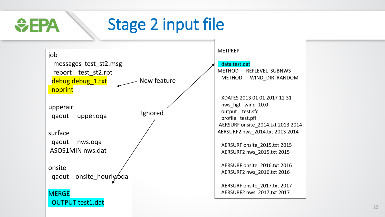### Stage 2 input file  $\div$ EPA

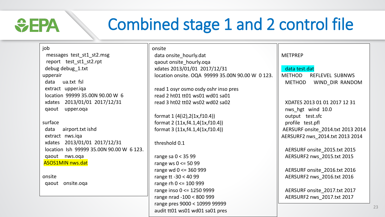### Combined stage 1 and 2 control file

| job                                      | onsite                                           |                                   |
|------------------------------------------|--------------------------------------------------|-----------------------------------|
| messages test_st1_st2.msg                | data onsite_hourly.dat                           | <b>METPREP</b>                    |
| report test_st1_st2.rpt                  | qaout onsite_hourly.oqa                          |                                   |
| debug debug_1.txt                        | xdates 2013/01/01 2017/12/31                     | data test.dat                     |
| upperair                                 | location onsite. OQA 99999 35.00N 90.00 W 0 123. | <b>METHOD</b><br>REFLEVEL SUBNWS  |
| data ua.txt fsl                          |                                                  | <b>METHOD</b><br>WIND_DIR RANDOM  |
| extract upper.iqa                        | read 1 osyr osmo osdy oshr inso pres             |                                   |
| location 99999 35.00N 90.00 W 6          | read 2 ht01 tt01 ws01 wd01 sa01                  |                                   |
| xdates 2013/01/01 2017/12/31             | read 3 ht02 tt02 ws02 wd02 sa02                  | XDATES 2013 01 01 2017 12 31      |
| qaout<br>upper.oqa                       |                                                  | nws hgt wind 10.0                 |
|                                          | format $1(4(i2),2(1x,f10.4))$                    | output test.sfc                   |
| surface                                  | format $2(11x, f4.1, 4(1x, f10.4))$              | profile test.pfl                  |
| data<br>airport.txt ishd                 | format $3(11x, f4.1, 4(1x, f10.4))$              | AERSURF onsite 2014.txt 2013 2014 |
| extract nws.iqa                          |                                                  | AERSURF2 nws_2014.txt 2013 2014   |
| xdates 2013/01/01 2017/12/31             | threshold 0.1                                    |                                   |
| location Ish 99999 35.00N 90.00 W 6 123. |                                                  | AERSURF onsite_2015.txt 2015      |
| qaout nws.oqa                            | range sa $0 < 3599$                              | AERSURF2 nws_2015.txt 2015        |
| <b>ASOS1MIN nws.dat</b>                  | range ws $0 \le 5099$                            |                                   |
|                                          | range wd 0 <= 360 999                            | AERSURF onsite_2016.txt 2016      |
| onsite                                   | range tt -30 < 40 99                             | AERSURF2 nws_2016.txt 2016        |
| qaout onsite.oqa                         | range rh 0 <= 100 999                            |                                   |
|                                          | range inso 0 <= 1250 9999                        | AERSURF onsite_2017.txt 2017      |
|                                          | range nrad -100 < 800 999                        | AERSURF2 nws_2017.txt 2017        |
|                                          | range pres 9000 < 10999 99999                    |                                   |

*<u>CHPA</u>* 

audit tt01 ws01 wd01 sa01 pres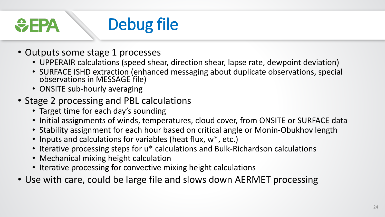Debug file <del>V</del>IE

- Outputs some stage 1 processes
	- UPPERAIR calculations (speed shear, direction shear, lapse rate, dewpoint deviation)
	- SURFACE ISHD extraction (enhanced messaging about duplicate observations, special observations in MESSAGE file)
	- ONSITE sub-hourly averaging
- Stage 2 processing and PBL calculations
	- Target time for each day's sounding
	- Initial assignments of winds, temperatures, cloud cover, from ONSITE or SURFACE data
	- Stability assignment for each hour based on critical angle or Monin-Obukhov length
	- Inputs and calculations for variables (heat flux, w<sup>\*</sup>, etc.)
	- Iterative processing steps for u\* calculations and Bulk-Richardson calculations
	- Mechanical mixing height calculation
	- Iterative processing for convective mixing height calculations
- Use with care, could be large file and slows down AERMET processing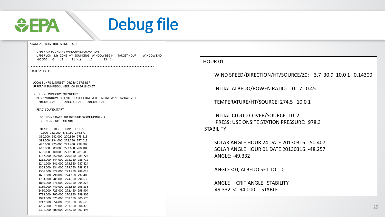

### Debug file

#### STAGE 2 DEBUG PROCESSING START

UPPER AIR SOUNDING WINDOW INFORMATION UPPER LON MY\_ZONE MY\_SOUNDING WINDOW BEGIN TARGET HOUR WINDOW END  $-90.570$   $-6$   $12$   $11 (-1)$   $12$   $13 (1)$ 

\*\*\*\*\*\*\*\*\*\*\*\*\*\*\*\*\*\*\*\*\*\*\*\*\*\*\*\*\*\*\*\*\*\*\*\*\*\*\*\*\*\*\*\*\*\*\*\*\*\*\*\*\*\*\*\*\*\*\*\*\*\*\*\*\*\*\*\*\*\*\*\*\*\*\*\*\* DATE: 20130316

LOCAL SUNRISE/SUNSET: 06:08:40 17:53:37 UPPERAIR SUNRISE/SUNSET: 06:18:56 18:03:57

SOUNDING WINDOW FOR 20130316 BEGIN WINDOW DATE/HR TARGET DATE/HR ENDING WINDOW DATE/HR 20130316 05 20130316 06 20130316 07

READ\_SOUND START

SOUNDING DATE: 20130316 HR 06 SOUNDING # 2 SOUNDING NOT EXTENDED

HEIGHT PRES TEMP THETA 0.000 982.000 273.150 274.571 330.000 942.000 270.850 275.513 398.000 934.000 272.250 277.613 480.000 925.000 272.450 278.587 619.000 909.000 272.650 280.184 698.000 900.000 273.550 281.909 1157.000 850.000 270.850 283.723 1213.000 844.000 273.150 286.712 1241.000 841.000 273.550 287.424 1308.000 834.000 273.750 288.321 1356.000 829.000 273.950 289.028 1661.000 798.000 274.150 292.406 1793.000 785.000 274.950 294.638 1886.000 776.000 275.150 295.826 2169.000 749.000 272.850 296.336 2450.000 723.000 272.450 298.904 2713.000 700.000 270.850 299.905 2999.000 675.000 268.650 300.576 3247.000 654.000 268.050 302.625 4295.000 571.000 261.050 306.375 5301.000 500.000 252.250 307.493

#### HOUR 01

WIND SPEED/DIRECTION/HT/SOURCE/Z0: 3.7 30.9 10.0 1 0.14300

INITIAL ALBEDO/BOWEN RATIO: 0.17 0.45

TEMPERATURE/HT/SOURCE: 274.5 10.0 1

INITIAL CLOUD COVER/SOURCE: 10 2 PRESS: USE ONSITE STATION PRESSURE: 978.3 STABILITY

SOLAR ANGLE HOUR 24 DATE 20130316: -50.407 SOLAR ANGLE HOUR 01 DATE 20130316: -48.257 ANGLE: -49.332

ANGLE < 0, ALBEDO SET TO 1.0

ANGLE CRIT ANGLE STABILITY -49.332 < 94.000 STABLE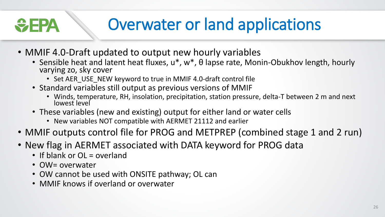**GEPA** 

### Overwater or land applications

- MMIF 4.0-Draft updated to output new hourly variables
	- Sensible heat and latent heat fluxes, u<sup>\*</sup>, w<sup>\*</sup>, θ lapse rate, Monin-Obukhov length, hourly varying zo, sky cover
		- Set AER\_USE\_NEW keyword to true in MMIF 4.0-draft control file
	- Standard variables still output as previous versions of MMIF
		- Winds, temperature, RH, insolation, precipitation, station pressure, delta-T between 2 m and next lowest level
	- These variables (new and existing) output for either land or water cells
		- New variables NOT compatible with AERMET 21112 and earlier
- MMIF outputs control file for PROG and METPREP (combined stage 1 and 2 run)
- New flag in AERMET associated with DATA keyword for PROG data
	- If blank or OL = overland
	- OW= overwater
	- OW cannot be used with ONSITE pathway; OL can
	- MMIF knows if overland or overwater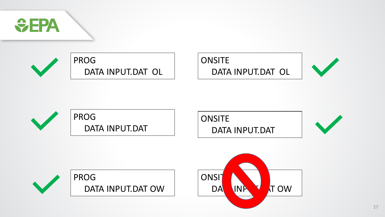

PROG DATA INPUT.DAT OL

### **ONSITE**

DATA INPUT.DAT OL







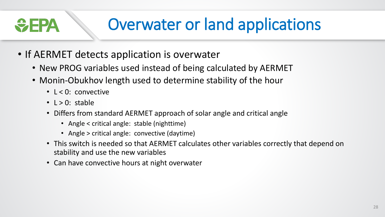# Overwater or land applications

- If AERMET detects application is overwater
	- New PROG variables used instead of being calculated by AERMET
	- Monin-Obukhov length used to determine stability of the hour
		- L < 0: convective
		- $\cdot$  L > 0: stable

 $\bigtriangledown$  - 24

- Differs from standard AERMET approach of solar angle and critical angle
	- Angle < critical angle: stable (nighttime)
	- Angle > critical angle: convective (daytime)
- This switch is needed so that AERMET calculates other variables correctly that depend on stability and use the new variables
- Can have convective hours at night overwater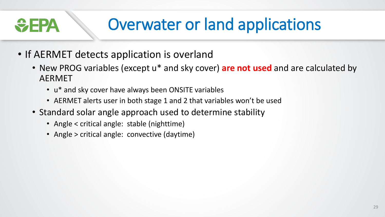$\bigtriangledown$  - 24

## Overwater or land applications

- If AERMET detects application is overland
	- New PROG variables (except u\* and sky cover) **are not used** and are calculated by AERMET
		- u\* and sky cover have always been ONSITE variables
		- AERMET alerts user in both stage 1 and 2 that variables won't be used
	- Standard solar angle approach used to determine stability
		- Angle < critical angle: stable (nighttime)
		- Angle > critical angle: convective (daytime)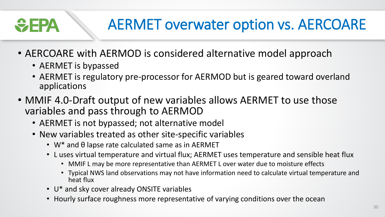# $\div$ EPA

### AERMET overwater option vs. AERCOARE

- AERCOARE with AERMOD is considered alternative model approach
	- AERMET is bypassed
	- AERMET is regulatory pre-processor for AERMOD but is geared toward overland applications
- MMIF 4.0-Draft output of new variables allows AERMET to use those variables and pass through to AERMOD
	- AERMET is not bypassed; not alternative model
	- New variables treated as other site-specific variables
		- W\* and θ lapse rate calculated same as in AERMET
		- L uses virtual temperature and virtual flux; AERMET uses temperature and sensible heat flux
			- MMIF L may be more representative than AERMET L over water due to moisture effects
			- Typical NWS land observations may not have information need to calculate virtual temperature and heat flux
		- U\* and sky cover already ONSITE variables
		- Hourly surface roughness more representative of varying conditions over the ocean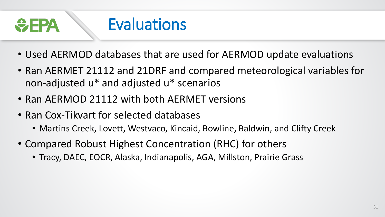

- Used AERMOD databases that are used for AERMOD update evaluations
- Ran AERMET 21112 and 21DRF and compared meteorological variables for non-adjusted u\* and adjusted u\* scenarios
- Ran AERMOD 21112 with both AERMET versions
- Ran Cox-Tikvart for selected databases
	- Martins Creek, Lovett, Westvaco, Kincaid, Bowline, Baldwin, and Clifty Creek
- Compared Robust Highest Concentration (RHC) for others
	- Tracy, DAEC, EOCR, Alaska, Indianapolis, AGA, Millston, Prairie Grass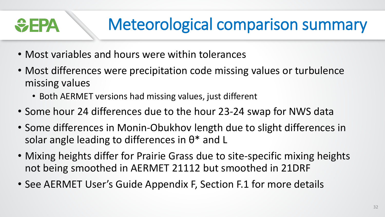### Meteorological comparison summary <del>W</del>FPA

- Most variables and hours were within tolerances
- Most differences were precipitation code missing values or turbulence missing values
	- Both AERMET versions had missing values, just different
- Some hour 24 differences due to the hour 23-24 swap for NWS data
- Some differences in Monin-Obukhov length due to slight differences in solar angle leading to differences in  $\theta^*$  and L
- Mixing heights differ for Prairie Grass due to site-specific mixing heights not being smoothed in AERMET 21112 but smoothed in 21DRF
- See AERMET User's Guide Appendix F, Section F.1 for more details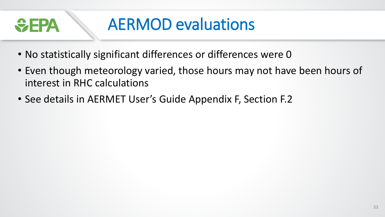

### AERMOD evaluations

- No statistically significant differences or differences were 0
- Even though meteorology varied, those hours may not have been hours of interest in RHC calculations
- See details in AERMET User's Guide Appendix F, Section F.2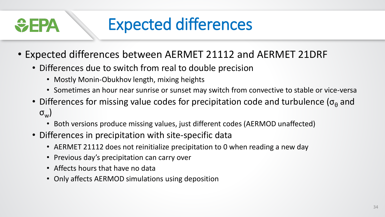### Expected differences <del>ÿ FPA</del>

- Expected differences between AERMET 21112 and AERMET 21DRF
	- Differences due to switch from real to double precision
		- Mostly Monin-Obukhov length, mixing heights
		- Sometimes an hour near sunrise or sunset may switch from convective to stable or vice-versa
	- Differences for missing value codes for precipitation code and turbulence ( $\sigma_{\theta}$  and  $\sigma_{_{\text{\tiny W}}})$ 
		- Both versions produce missing values, just different codes (AERMOD unaffected)
	- Differences in precipitation with site-specific data
		- AERMET 21112 does not reinitialize precipitation to 0 when reading a new day
		- Previous day's precipitation can carry over
		- Affects hours that have no data
		- Only affects AERMOD simulations using deposition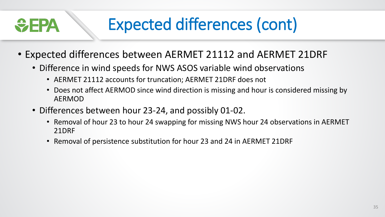# Expected differences (cont)

- Expected differences between AERMET 21112 and AERMET 21DRF
	- Difference in wind speeds for NWS ASOS variable wind observations
		- AERMET 21112 accounts for truncation; AERMET 21DRF does not
		- Does not affect AERMOD since wind direction is missing and hour is considered missing by AERMOD
	- Differences between hour 23-24, and possibly 01-02.

 $\bigtriangledown$  EPA

- Removal of hour 23 to hour 24 swapping for missing NWS hour 24 observations in AERMET 21DRF
- Removal of persistence substitution for hour 23 and 24 in AERMET 21DRF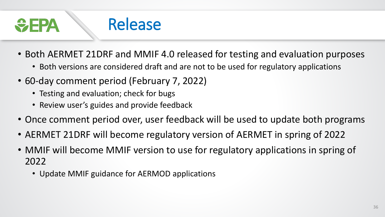

- Both AERMET 21DRF and MMIF 4.0 released for testing and evaluation purposes
	- Both versions are considered draft and are not to be used for regulatory applications
- 60-day comment period (February 7, 2022)
	- Testing and evaluation; check for bugs
	- Review user's guides and provide feedback
- Once comment period over, user feedback will be used to update both programs
- AERMET 21DRF will become regulatory version of AERMET in spring of 2022
- MMIF will become MMIF version to use for regulatory applications in spring of 2022
	- Update MMIF guidance for AERMOD applications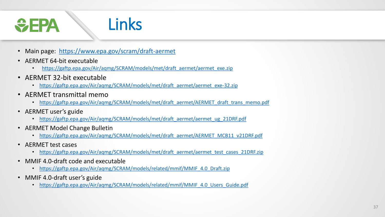### *<u>CHA</u>* Links

- Main page: <https://www.epa.gov/scram/draft-aermet>
- AERMET 64-bit executable
	- [https://gaftp.epa.gov/Air/aqmg/SCRAM/models/met/draft\\_aermet/aermet\\_exe.zip](https://gaftp.epa.gov/Air/aqmg/SCRAM/models/met/draft_aermet/aermet_exe.zip)
- AERMET 32-bit executable
	- [https://gaftp.epa.gov/Air/aqmg/SCRAM/models/met/draft\\_aermet/aermet\\_exe-32.zip](https://gaftp.epa.gov/Air/aqmg/SCRAM/models/met/draft_aermet/aermet_exe-32.zip)
- AERMET transmittal memo
	- [https://gaftp.epa.gov/Air/aqmg/SCRAM/models/met/draft\\_aermet/AERMET\\_draft\\_trans\\_memo.pdf](https://gaftp.epa.gov/Air/aqmg/SCRAM/models/met/draft_aermet/AERMET_draft_trans_memo.pdf)
- AERMET user's guide
	- [https://gaftp.epa.gov/Air/aqmg/SCRAM/models/met/draft\\_aermet/aermet\\_ug\\_21DRF.pdf](https://gaftp.epa.gov/Air/aqmg/SCRAM/models/met/draft_aermet/aermet_ug_21DRF.pdf)
- AERMET Model Change Bulletin
	- [https://gaftp.epa.gov/Air/aqmg/SCRAM/models/met/draft\\_aermet/AERMET\\_MCB11\\_v21DRF.pdf](https://gaftp.epa.gov/Air/aqmg/SCRAM/models/met/draft_aermet/AERMET_MCB11_v21DRF.pdf)
- AERMET test cases
	- https://gaftp.epa.gov/Air/agmg/SCRAM/models/met/draft\_aermet/aermet\_test\_cases\_21DRF.zip
- MMIF 4.0-draft code and executable
	- [https://gaftp.epa.gov/Air/aqmg/SCRAM/models/related/mmif/MMIF\\_4.0\\_Draft.zip](https://gaftp.epa.gov/Air/aqmg/SCRAM/models/related/mmif/MMIF_4.0_Draft.zip)
- MMIF 4.0-draft user's guide
	- [https://gaftp.epa.gov/Air/aqmg/SCRAM/models/related/mmif/MMIF\\_4.0\\_Users\\_Guide.pdf](https://gaftp.epa.gov/Air/aqmg/SCRAM/models/related/mmif/MMIF_4.0_Users_Guide.pdf)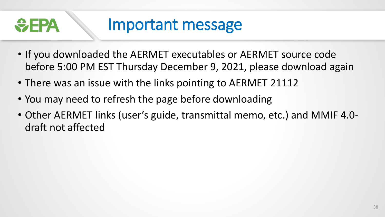

### Important message

- If you downloaded the AERMET executables or AERMET source code before 5:00 PM EST Thursday December 9, 2021, please download again
- There was an issue with the links pointing to AERMET 21112
- You may need to refresh the page before downloading
- Other AERMET links (user's guide, transmittal memo, etc.) and MMIF 4.0 draft not affected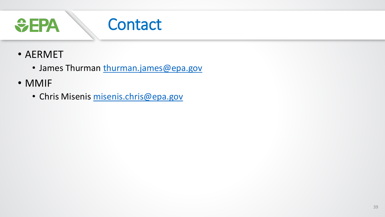

- AERMET
	- James Thurman [thurman.james@epa.gov](mailto:thurman.james@epa.gov)
- MMIF
	- Chris Misenis [misenis.chris@epa.gov](mailto:misenis.chris@epa.gov)